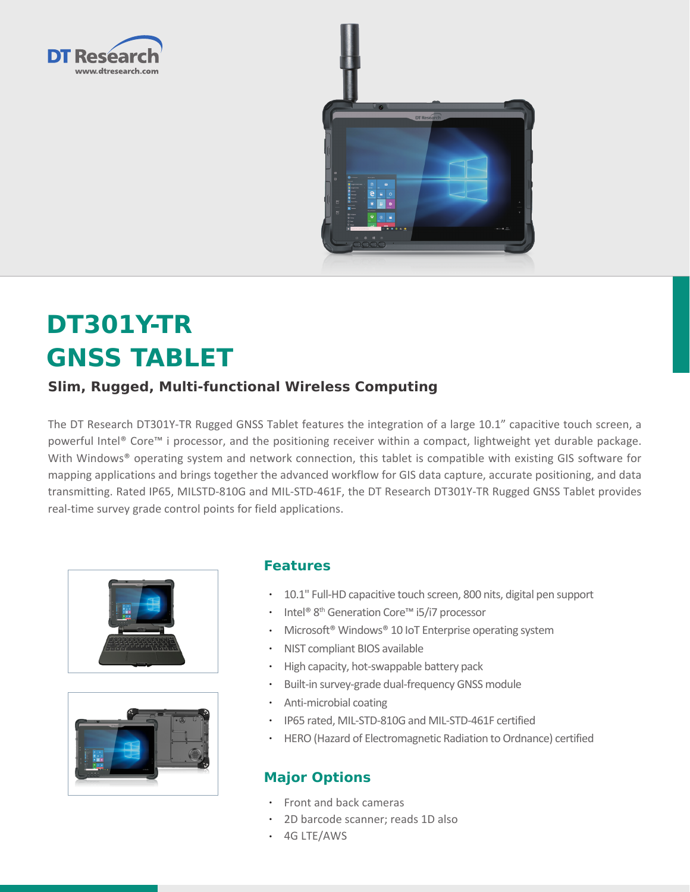



# **DT301Y-TR GNSS TABLET**

## **Slim, Rugged, Multi-functional Wireless Computing**

The DT Research DT301Y-TR Rugged GNSS Tablet features the integration of a large 10.1" capacitive touch screen, a powerful Intel® Core™ i processor, and the positioning receiver within a compact, lightweight yet durable package. With Windows® operating system and network connection, this tablet is compatible with existing GIS software for mapping applications and brings together the advanced workflow for GIS data capture, accurate positioning, and data transmitting. Rated IP65, MILSTD-810G and MIL-STD-461F, the DT Research DT301Y-TR Rugged GNSS Tablet provides real-time survey grade control points for field applications.





### **Features**

- • 10.1" Full-HD capacitive touch screen, 800 nits, digital pen support
- Intel® 8<sup>th</sup> Generation Core<sup>™</sup> i5/i7 processor
- Microsoft<sup>®</sup> Windows<sup>®</sup> 10 IoT Enterprise operating system
- • NIST compliant BIOS available
- • High capacity, hot-swappable battery pack
- • Built-in survey-grade dual-frequency GNSS module
- • Anti-microbial coating
- • IP65 rated, MIL-STD-810G and MIL-STD-461F certified
- HERO (Hazard of Electromagnetic Radiation to Ordnance) certified

## **Major Options**

- • Front and back cameras
- • 2D barcode scanner; reads 1D also
- • 4G LTE/AWS